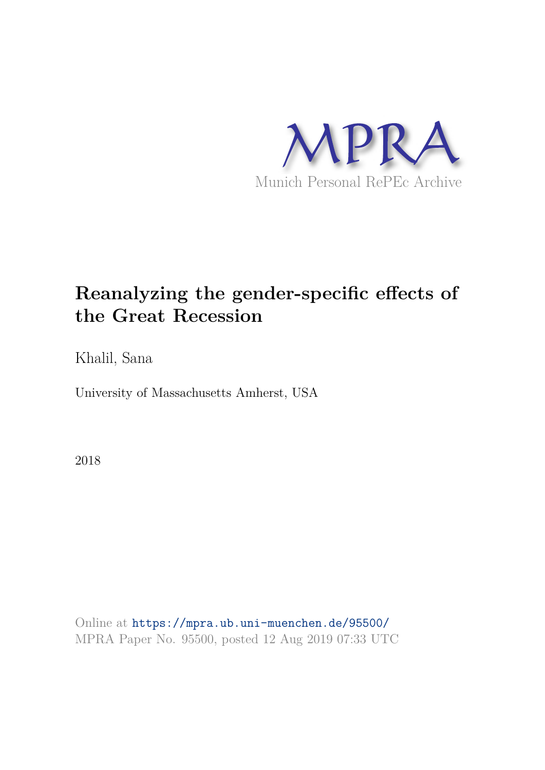

# **Reanalyzing the gender-specific effects of the Great Recession**

Khalil, Sana

University of Massachusetts Amherst, USA

2018

Online at https://mpra.ub.uni-muenchen.de/95500/ MPRA Paper No. 95500, posted 12 Aug 2019 07:33 UTC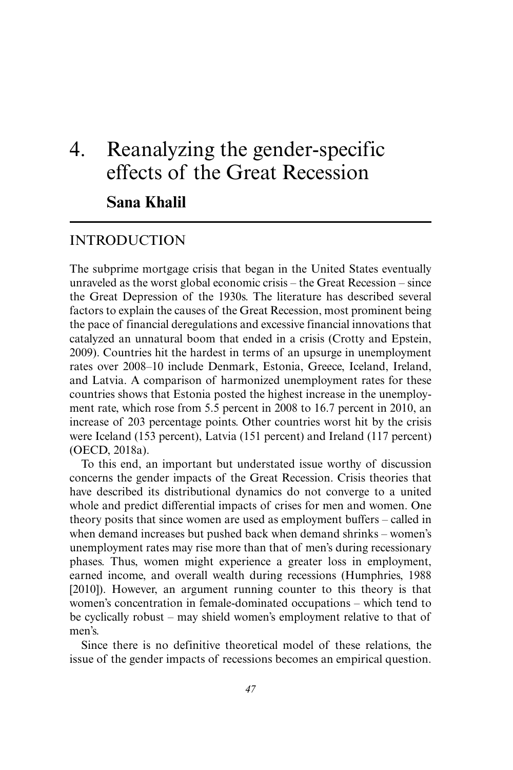## 4. Reanalyzing the gender-specific effects of the Great Recession **Sana Khalil**

## INTRODUCTION

The subprime mortgage crisis that began in the United States eventually unraveled as the worst global economic crisis – the Great Recession – since the Great Depression of the 1930s. The literature has described several factors to explain the causes of the Great Recession, most prominent being the pace of financial deregulations and excessive financial innovations that catalyzed an unnatural boom that ended in a crisis (Crotty and Epstein, 2009). Countries hit the hardest in terms of an upsurge in unemployment rates over 2008–10 include Denmark, Estonia, Greece, Iceland, Ireland, and Latvia. A comparison of harmonized unemployment rates for these countries shows that Estonia posted the highest increase in the unemployment rate, which rose from 5.5 percent in 2008 to 16.7 percent in 2010, an increase of 203 percentage points. Other countries worst hit by the crisis were Iceland (153 percent), Latvia (151 percent) and Ireland (117 percent) (OECD, 2018a).

To this end, an important but understated issue worthy of discussion concerns the gender impacts of the Great Recession. Crisis theories that have described its distributional dynamics do not converge to a united whole and predict differential impacts of crises for men and women. One theory posits that since women are used as employment buffers – called in when demand increases but pushed back when demand shrinks – women's unemployment rates may rise more than that of men's during recessionary phases. Thus, women might experience a greater loss in employment, earned income, and overall wealth during recessions (Humphries, 1988 [2010]). However, an argument running counter to this theory is that women's concentration in female-dominated occupations – which tend to be cyclically robust – may shield women's employment relative to that of men's.

Since there is no definitive theoretical model of these relations, the issue of the gender impacts of recessions becomes an empirical question.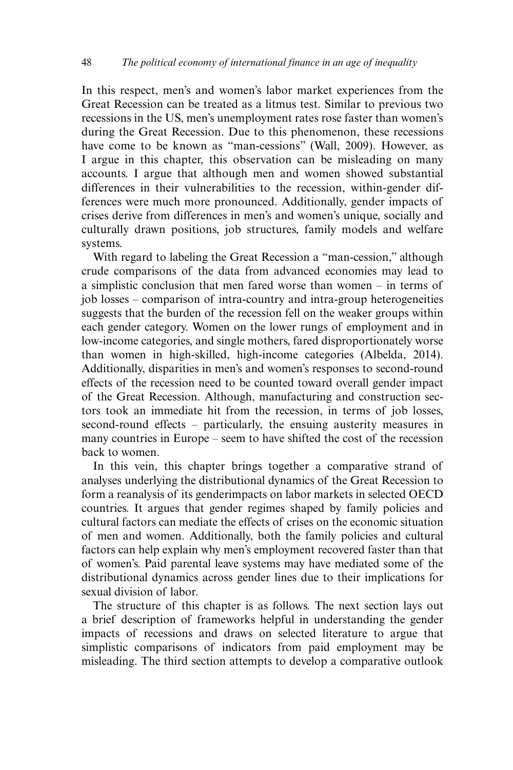In this respect, men's and women's labor market experiences from the Great Recession can be treated as a litmus test. Similar to previous two recessions in the US, men's unemployment rates rose faster than women's during the Great Recession. Due to this phenomenon, these recessions have come to be known as "man-cessions" (Wall, 2009). However, as I argue in this chapter, this observation can be misleading on many accounts. I argue that although men and women showed substantial differences in their vulnerabilities to the recession, within-gender differences were much more pronounced. Additionally, gender impacts of crises derive from differences in men's and women's unique, socially and culturally drawn positions, job structures, family models and welfare systems.

With regard to labeling the Great Recession a "man-cession," although crude comparisons of the data from advanced economies may lead to a simplistic conclusion that men fared worse than women – in terms of job losses – comparison of intra-country and intra-group heterogeneities suggests that the burden of the recession fell on the weaker groups within each gender category. Women on the lower rungs of employment and in low-income categories, and single mothers, fared disproportionately worse than women in high-skilled, high-income categories (Albelda, 2014). Additionally, disparities in men's and women's responses to second-round effects of the recession need to be counted toward overall gender impact of the Great Recession. Although, manufacturing and construction sectors took an immediate hit from the recession, in terms of job losses, second-round effects – particularly, the ensuing austerity measures in many countries in Europe – seem to have shifted the cost of the recession back to women.

In this vein, this chapter brings together a comparative strand of analyses underlying the distributional dynamics of the Great Recession to form a reanalysis of its genderimpacts on labor markets in selected OECD countries. It argues that gender regimes shaped by family policies and cultural factors can mediate the effects of crises on the economic situation of men and women. Additionally, both the family policies and cultural factors can help explain why men's employment recovered faster than that of women's. Paid parental leave systems may have mediated some of the distributional dynamics across gender lines due to their implications for sexual division of labor.

The structure of this chapter is as follows. The next section lays out a brief description of frameworks helpful in understanding the gender impacts of recessions and draws on selected literature to argue that simplistic comparisons of indicators from paid employment may be misleading. The third section attempts to develop a comparative outlook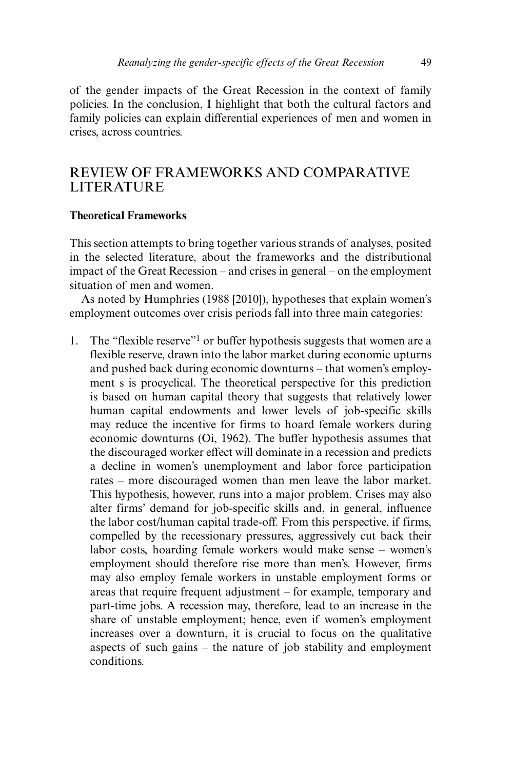of the gender impacts of the Great Recession in the context of family policies. In the conclusion, I highlight that both the cultural factors and family policies can explain differential experiences of men and women in crises, across countries.

## REVIEW OF FRAMEWORKS AND COMPARATIVE LITERATURE

#### **Theoretical Frameworks**

This section attempts to bring together various strands of analyses, posited in the selected literature, about the frameworks and the distributional impact of the Great Recession – and crises in general – on the employment situation of men and women.

As noted by Humphries (1988 [2010]), hypotheses that explain women's employment outcomes over crisis periods fall into three main categories:

1. The "flexible reserve"<sup>1</sup> or buffer hypothesis suggests that women are a flexible reserve, drawn into the labor market during economic upturns and pushed back during economic downturns – that women's employment s is procyclical. The theoretical perspective for this prediction is based on human capital theory that suggests that relatively lower human capital endowments and lower levels of job-specific skills may reduce the incentive for firms to hoard female workers during economic downturns (Oi, 1962). The buffer hypothesis assumes that the discouraged worker effect will dominate in a recession and predicts a decline in women's unemployment and labor force participation rates – more discouraged women than men leave the labor market. This hypothesis, however, runs into a major problem. Crises may also alter firms' demand for job-specific skills and, in general, influence the labor cost/human capital trade-off. From this perspective, if firms, compelled by the recessionary pressures, aggressively cut back their labor costs, hoarding female workers would make sense – women's employment should therefore rise more than men's. However, firms may also employ female workers in unstable employment forms or areas that require frequent adjustment – for example, temporary and part-time jobs. A recession may, therefore, lead to an increase in the share of unstable employment; hence, even if women's employment increases over a downturn, it is crucial to focus on the qualitative aspects of such gains – the nature of job stability and employment conditions.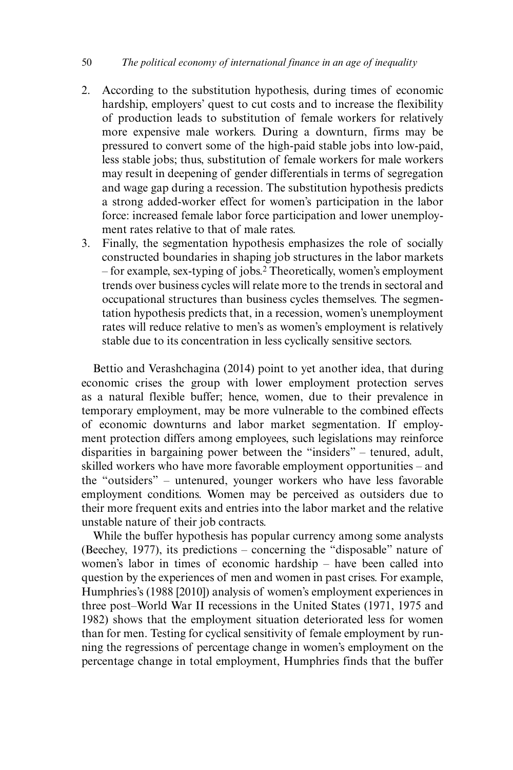#### 50 *The political economy of international finance in an age of inequality*

- 2. According to the substitution hypothesis, during times of economic hardship, employers' quest to cut costs and to increase the flexibility of production leads to substitution of female workers for relatively more expensive male workers. During a downturn, firms may be pressured to convert some of the high-paid stable jobs into low-paid, less stable jobs; thus, substitution of female workers for male workers may result in deepening of gender differentials in terms of segregation and wage gap during a recession. The substitution hypothesis predicts a strong added-worker effect for women's participation in the labor force: increased female labor force participation and lower unemployment rates relative to that of male rates.
- 3. Finally, the segmentation hypothesis emphasizes the role of socially constructed boundaries in shaping job structures in the labor markets – for example, sex-typing of jobs.<sup>2</sup> Theoretically, women's employment trends over business cycles will relate more to the trends in sectoral and occupational structures than business cycles themselves. The segmentation hypothesis predicts that, in a recession, women's unemployment rates will reduce relative to men's as women's employment is relatively stable due to its concentration in less cyclically sensitive sectors.

Bettio and Verashchagina (2014) point to yet another idea, that during economic crises the group with lower employment protection serves as a natural flexible buffer; hence, women, due to their prevalence in temporary employment, may be more vulnerable to the combined effects of economic downturns and labor market segmentation. If employment protection differs among employees, such legislations may reinforce disparities in bargaining power between the "insiders" – tenured, adult, skilled workers who have more favorable employment opportunities – and the "outsiders" – untenured, younger workers who have less favorable employment conditions. Women may be perceived as outsiders due to their more frequent exits and entries into the labor market and the relative unstable nature of their job contracts.

While the buffer hypothesis has popular currency among some analysts (Beechey, 1977), its predictions – concerning the "disposable" nature of women's labor in times of economic hardship – have been called into question by the experiences of men and women in past crises. For example, Humphries's (1988 [2010]) analysis of women's employment experiences in three post–World War II recessions in the United States (1971, 1975 and 1982) shows that the employment situation deteriorated less for women than for men. Testing for cyclical sensitivity of female employment by running the regressions of percentage change in women's employment on the percentage change in total employment, Humphries finds that the buffer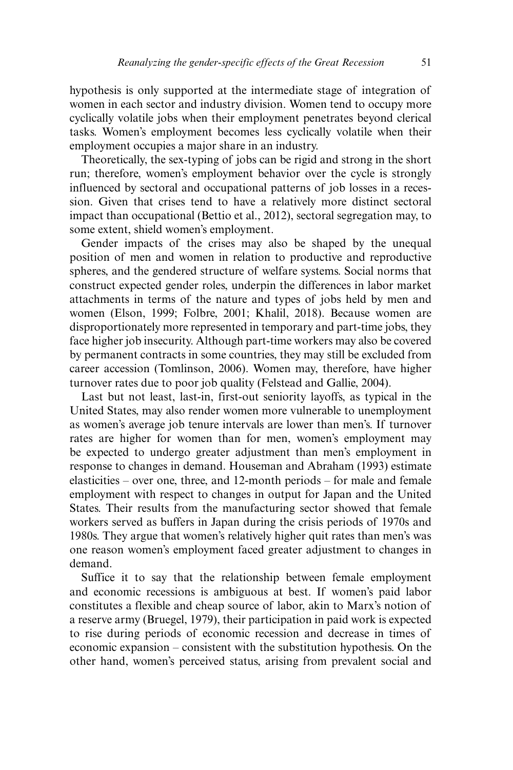hypothesis is only supported at the intermediate stage of integration of women in each sector and industry division. Women tend to occupy more cyclically volatile jobs when their employment penetrates beyond clerical tasks. Women's employment becomes less cyclically volatile when their employment occupies a major share in an industry.

Theoretically, the sex-typing of jobs can be rigid and strong in the short run; therefore, women's employment behavior over the cycle is strongly influenced by sectoral and occupational patterns of job losses in a recession. Given that crises tend to have a relatively more distinct sectoral impact than occupational (Bettio et al., 2012), sectoral segregation may, to some extent, shield women's employment.

Gender impacts of the crises may also be shaped by the unequal position of men and women in relation to productive and reproductive spheres, and the gendered structure of welfare systems. Social norms that construct expected gender roles, underpin the differences in labor market attachments in terms of the nature and types of jobs held by men and women (Elson, 1999; Folbre, 2001; Khalil, 2018). Because women are disproportionately more represented in temporary and part-time jobs, they face higher job insecurity. Although part-time workers may also be covered by permanent contracts in some countries, they may still be excluded from career accession (Tomlinson, 2006). Women may, therefore, have higher turnover rates due to poor job quality (Felstead and Gallie, 2004).

Last but not least, last-in, first-out seniority layoffs, as typical in the United States, may also render women more vulnerable to unemployment as women's average job tenure intervals are lower than men's. If turnover rates are higher for women than for men, women's employment may be expected to undergo greater adjustment than men's employment in response to changes in demand. Houseman and Abraham (1993) estimate elasticities – over one, three, and 12-month periods – for male and female employment with respect to changes in output for Japan and the United States. Their results from the manufacturing sector showed that female workers served as buffers in Japan during the crisis periods of 1970s and 1980s. They argue that women's relatively higher quit rates than men's was one reason women's employment faced greater adjustment to changes in demand.

Suffice it to say that the relationship between female employment and economic recessions is ambiguous at best. If women's paid labor constitutes a flexible and cheap source of labor, akin to Marx's notion of a reserve army (Bruegel, 1979), their participation in paid work is expected to rise during periods of economic recession and decrease in times of economic expansion – consistent with the substitution hypothesis. On the other hand, women's perceived status, arising from prevalent social and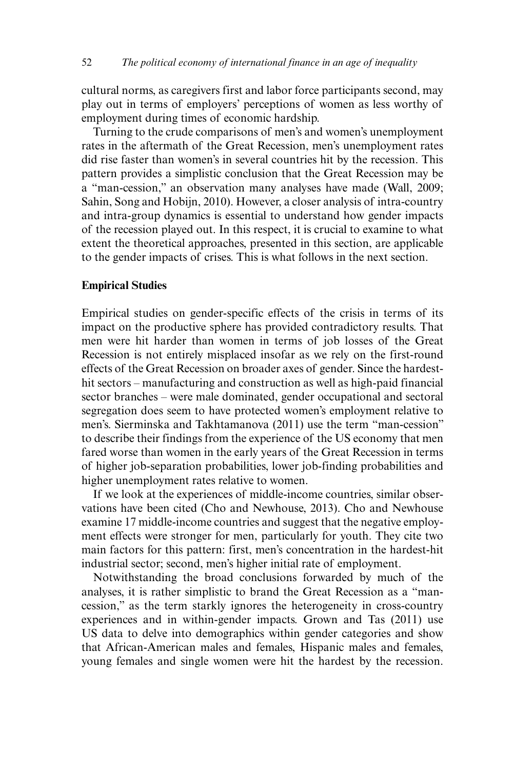cultural norms, as caregivers first and labor force participants second, may play out in terms of employers' perceptions of women as less worthy of employment during times of economic hardship.

Turning to the crude comparisons of men's and women's unemployment rates in the aftermath of the Great Recession, men's unemployment rates did rise faster than women's in several countries hit by the recession. This pattern provides a simplistic conclusion that the Great Recession may be a "man-cession," an observation many analyses have made (Wall, 2009; Sahin, Song and Hobijn, 2010). However, a closer analysis of intra-country and intra-group dynamics is essential to understand how gender impacts of the recession played out. In this respect, it is crucial to examine to what extent the theoretical approaches, presented in this section, are applicable to the gender impacts of crises. This is what follows in the next section.

#### **Empirical Studies**

Empirical studies on gender-specific effects of the crisis in terms of its impact on the productive sphere has provided contradictory results. That men were hit harder than women in terms of job losses of the Great Recession is not entirely misplaced insofar as we rely on the first-round effects of the Great Recession on broader axes of gender. Since the hardesthit sectors – manufacturing and construction as well as high-paid financial sector branches – were male dominated, gender occupational and sectoral segregation does seem to have protected women's employment relative to men's. Sierminska and Takhtamanova (2011) use the term "man-cession" to describe their findings from the experience of the US economy that men fared worse than women in the early years of the Great Recession in terms of higher job-separation probabilities, lower job-finding probabilities and higher unemployment rates relative to women.

If we look at the experiences of middle-income countries, similar observations have been cited (Cho and Newhouse, 2013). Cho and Newhouse examine 17 middle-income countries and suggest that the negative employment effects were stronger for men, particularly for youth. They cite two main factors for this pattern: first, men's concentration in the hardest-hit industrial sector; second, men's higher initial rate of employment.

Notwithstanding the broad conclusions forwarded by much of the analyses, it is rather simplistic to brand the Great Recession as a "mancession," as the term starkly ignores the heterogeneity in cross-country experiences and in within-gender impacts. Grown and Tas (2011) use US data to delve into demographics within gender categories and show that African-American males and females, Hispanic males and females, young females and single women were hit the hardest by the recession.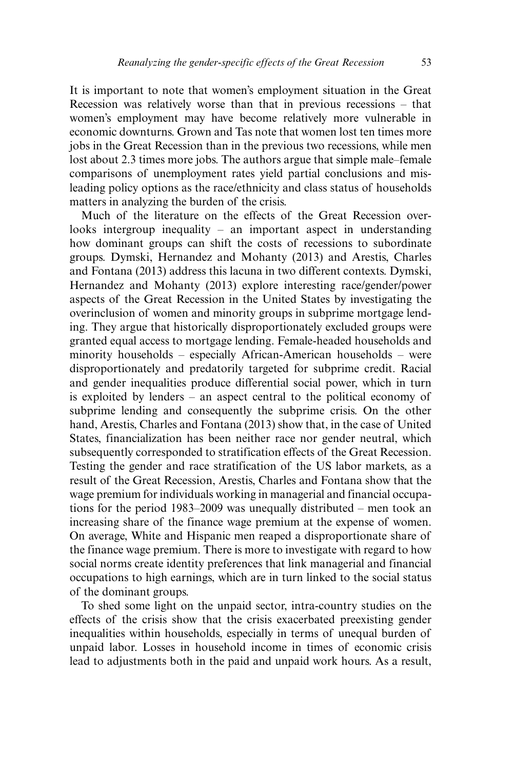It is important to note that women's employment situation in the Great Recession was relatively worse than that in previous recessions – that women's employment may have become relatively more vulnerable in economic downturns. Grown and Tas note that women lost ten times more jobs in the Great Recession than in the previous two recessions, while men lost about 2.3 times more jobs. The authors argue that simple male–female comparisons of unemployment rates yield partial conclusions and misleading policy options as the race/ethnicity and class status of households matters in analyzing the burden of the crisis.

Much of the literature on the effects of the Great Recession overlooks intergroup inequality – an important aspect in understanding how dominant groups can shift the costs of recessions to subordinate groups. Dymski, Hernandez and Mohanty (2013) and Arestis, Charles and Fontana (2013) address this lacuna in two different contexts. Dymski, Hernandez and Mohanty (2013) explore interesting race/gender/power aspects of the Great Recession in the United States by investigating the overinclusion of women and minority groups in subprime mortgage lending. They argue that historically disproportionately excluded groups were granted equal access to mortgage lending. Female-headed households and minority households – especially African-American households – were disproportionately and predatorily targeted for subprime credit. Racial and gender inequalities produce differential social power, which in turn is exploited by lenders – an aspect central to the political economy of subprime lending and consequently the subprime crisis. On the other hand, Arestis, Charles and Fontana (2013) show that, in the case of United States, financialization has been neither race nor gender neutral, which subsequently corresponded to stratification effects of the Great Recession. Testing the gender and race stratification of the US labor markets, as a result of the Great Recession, Arestis, Charles and Fontana show that the wage premium for individuals working in managerial and financial occupations for the period 1983–2009 was unequally distributed – men took an increasing share of the finance wage premium at the expense of women. On average, White and Hispanic men reaped a disproportionate share of the finance wage premium. There is more to investigate with regard to how social norms create identity preferences that link managerial and financial occupations to high earnings, which are in turn linked to the social status of the dominant groups.

To shed some light on the unpaid sector, intra-country studies on the effects of the crisis show that the crisis exacerbated preexisting gender inequalities within households, especially in terms of unequal burden of unpaid labor. Losses in household income in times of economic crisis lead to adjustments both in the paid and unpaid work hours. As a result,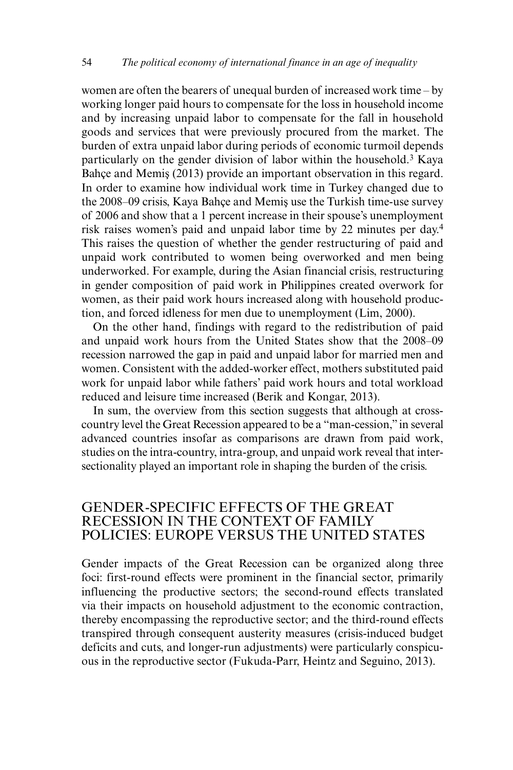women are often the bearers of unequal burden of increased work time – by working longer paid hours to compensate for the loss in household income and by increasing unpaid labor to compensate for the fall in household goods and services that were previously procured from the market. The burden of extra unpaid labor during periods of economic turmoil depends particularly on the gender division of labor within the household.<sup>3</sup> Kaya Bahçe and Memiş (2013) provide an important observation in this regard. In order to examine how individual work time in Turkey changed due to the 2008–09 crisis, Kaya Bahçe and Memiş use the Turkish time-use survey of 2006 and show that a 1 percent increase in their spouse's unemployment risk raises women's paid and unpaid labor time by 22 minutes per day.<sup>4</sup> This raises the question of whether the gender restructuring of paid and unpaid work contributed to women being overworked and men being underworked. For example, during the Asian financial crisis, restructuring in gender composition of paid work in Philippines created overwork for women, as their paid work hours increased along with household production, and forced idleness for men due to unemployment (Lim, 2000).

On the other hand, findings with regard to the redistribution of paid and unpaid work hours from the United States show that the 2008–09 recession narrowed the gap in paid and unpaid labor for married men and women. Consistent with the added-worker effect, mothers substituted paid work for unpaid labor while fathers' paid work hours and total workload reduced and leisure time increased (Berik and Kongar, 2013).

In sum, the overview from this section suggests that although at crosscountry level the Great Recession appeared to be a "man-cession," in several advanced countries insofar as comparisons are drawn from paid work, studies on the intra-country, intra-group, and unpaid work reveal that intersectionality played an important role in shaping the burden of the crisis.

## GENDER-SPECIFIC EFFECTS OF THE GREAT RECESSION IN THE CONTEXT OF FAMILY POLICIES: EUROPE VERSUS THE UNITED STATES

Gender impacts of the Great Recession can be organized along three foci: first-round effects were prominent in the financial sector, primarily influencing the productive sectors; the second-round effects translated via their impacts on household adjustment to the economic contraction, thereby encompassing the reproductive sector; and the third-round effects transpired through consequent austerity measures (crisis-induced budget deficits and cuts, and longer-run adjustments) were particularly conspicuous in the reproductive sector (Fukuda-Parr, Heintz and Seguino, 2013).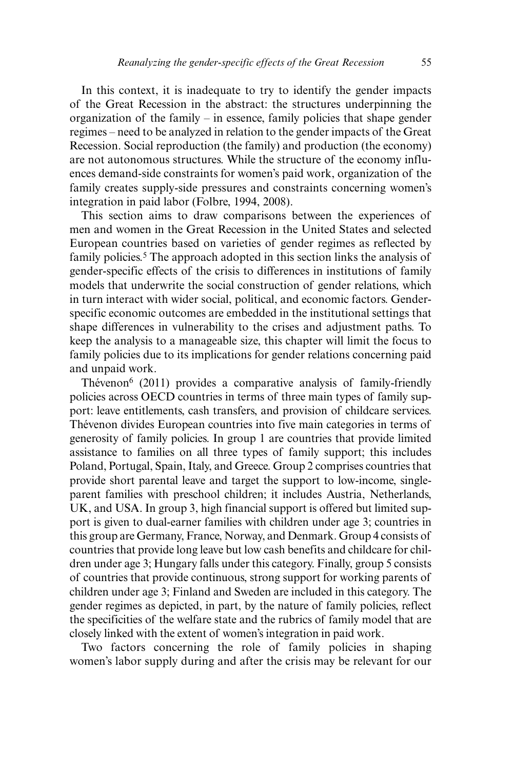In this context, it is inadequate to try to identify the gender impacts of the Great Recession in the abstract: the structures underpinning the organization of the family – in essence, family policies that shape gender regimes – need to be analyzed in relation to the gender impacts of the Great Recession. Social reproduction (the family) and production (the economy) are not autonomous structures. While the structure of the economy influences demand-side constraints for women's paid work, organization of the family creates supply-side pressures and constraints concerning women's integration in paid labor (Folbre, 1994, 2008).

This section aims to draw comparisons between the experiences of men and women in the Great Recession in the United States and selected European countries based on varieties of gender regimes as reflected by family policies.<sup>5</sup> The approach adopted in this section links the analysis of gender-specific effects of the crisis to differences in institutions of family models that underwrite the social construction of gender relations, which in turn interact with wider social, political, and economic factors. Genderspecific economic outcomes are embedded in the institutional settings that shape differences in vulnerability to the crises and adjustment paths. To keep the analysis to a manageable size, this chapter will limit the focus to family policies due to its implications for gender relations concerning paid and unpaid work.

Thévenon<sup>6</sup> (2011) provides a comparative analysis of family-friendly policies across OECD countries in terms of three main types of family support: leave entitlements, cash transfers, and provision of childcare services. Thévenon divides European countries into five main categories in terms of generosity of family policies. In group 1 are countries that provide limited assistance to families on all three types of family support; this includes Poland, Portugal, Spain, Italy, and Greece. Group 2 comprises countries that provide short parental leave and target the support to low-income, singleparent families with preschool children; it includes Austria, Netherlands, UK, and USA. In group 3, high financial support is offered but limited support is given to dual-earner families with children under age 3; countries in this group are Germany, France, Norway, and Denmark. Group 4 consists of countries that provide long leave but low cash benefits and childcare for children under age 3; Hungary falls under this category. Finally, group 5 consists of countries that provide continuous, strong support for working parents of children under age 3; Finland and Sweden are included in this category. The gender regimes as depicted, in part, by the nature of family policies, reflect the specificities of the welfare state and the rubrics of family model that are closely linked with the extent of women's integration in paid work.

Two factors concerning the role of family policies in shaping women's labor supply during and after the crisis may be relevant for our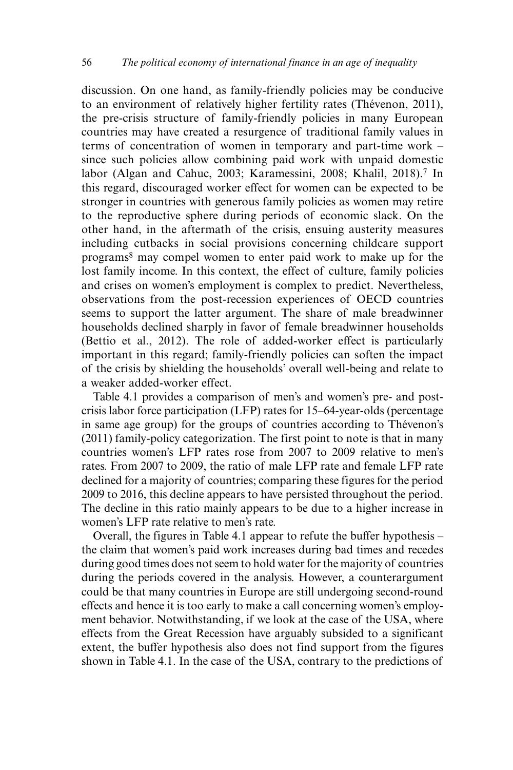discussion. On one hand, as family-friendly policies may be conducive to an environment of relatively higher fertility rates (Thévenon, 2011), the pre-crisis structure of family-friendly policies in many European countries may have created a resurgence of traditional family values in terms of concentration of women in temporary and part-time work – since such policies allow combining paid work with unpaid domestic labor (Algan and Cahuc, 2003; Karamessini, 2008; Khalil, 2018).<sup>7</sup> In this regard, discouraged worker effect for women can be expected to be stronger in countries with generous family policies as women may retire to the reproductive sphere during periods of economic slack. On the other hand, in the aftermath of the crisis, ensuing austerity measures including cutbacks in social provisions concerning childcare support programs<sup>8</sup> may compel women to enter paid work to make up for the lost family income. In this context, the effect of culture, family policies and crises on women's employment is complex to predict. Nevertheless, observations from the post-recession experiences of OECD countries seems to support the latter argument. The share of male breadwinner households declined sharply in favor of female breadwinner households (Bettio et al., 2012). The role of added-worker effect is particularly important in this regard; family-friendly policies can soften the impact of the crisis by shielding the households' overall well-being and relate to a weaker added-worker effect.

Table 4.1 provides a comparison of men's and women's pre- and postcrisis labor force participation (LFP) rates for 15–64-year-olds (percentage in same age group) for the groups of countries according to Thévenon's (2011) family-policy categorization. The first point to note is that in many countries women's LFP rates rose from 2007 to 2009 relative to men's rates. From 2007 to 2009, the ratio of male LFP rate and female LFP rate declined for a majority of countries; comparing these figures for the period 2009 to 2016, this decline appears to have persisted throughout the period. The decline in this ratio mainly appears to be due to a higher increase in women's LFP rate relative to men's rate.

Overall, the figures in Table 4.1 appear to refute the buffer hypothesis – the claim that women's paid work increases during bad times and recedes during good times does not seem to hold water for the majority of countries during the periods covered in the analysis. However, a counterargument could be that many countries in Europe are still undergoing second-round effects and hence it is too early to make a call concerning women's employment behavior. Notwithstanding, if we look at the case of the USA, where effects from the Great Recession have arguably subsided to a significant extent, the buffer hypothesis also does not find support from the figures shown in Table 4.1. In the case of the USA, contrary to the predictions of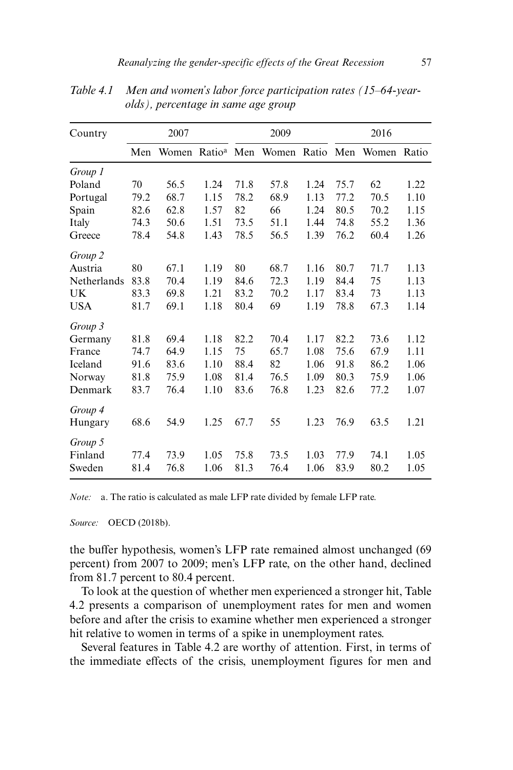| Country     |      | 2007                     |      |      | 2009                |      |      | 2016  |       |
|-------------|------|--------------------------|------|------|---------------------|------|------|-------|-------|
|             | Men  | Women Ratio <sup>a</sup> |      |      | Men Women Ratio Men |      |      | Women | Ratio |
| Group 1     |      |                          |      |      |                     |      |      |       |       |
| Poland      | 70   | 56.5                     | 1.24 | 71.8 | 57.8                | 1.24 | 75.7 | 62    | 1.22  |
| Portugal    | 79.2 | 68.7                     | 1.15 | 78.2 | 68.9                | 1.13 | 77.2 | 70.5  | 1.10  |
| Spain       | 82.6 | 62.8                     | 1.57 | 82   | 66                  | 1.24 | 80.5 | 70.2  | 1.15  |
| Italy       | 74.3 | 50.6                     | 1.51 | 73.5 | 51.1                | 1.44 | 74.8 | 55.2  | 1.36  |
| Greece      | 78.4 | 54.8                     | 1.43 | 78.5 | 56.5                | 1.39 | 76.2 | 60.4  | 1.26  |
| Group 2     |      |                          |      |      |                     |      |      |       |       |
| Austria     | 80   | 67.1                     | 1.19 | 80   | 68.7                | 1.16 | 80.7 | 71.7  | 1.13  |
| Netherlands | 83.8 | 70.4                     | 1.19 | 84.6 | 72.3                | 1.19 | 84.4 | 75    | 1.13  |
| UK          | 83.3 | 69.8                     | 1.21 | 83.2 | 70.2                | 1.17 | 83.4 | 73    | 1.13  |
| <b>USA</b>  | 81.7 | 69.1                     | 1.18 | 80.4 | 69                  | 1.19 | 78.8 | 67.3  | 1.14  |
| Group 3     |      |                          |      |      |                     |      |      |       |       |
| Germany     | 81.8 | 69.4                     | 1.18 | 82.2 | 70.4                | 1.17 | 82.2 | 73.6  | 1.12  |
| France      | 74.7 | 64.9                     | 1.15 | 75   | 65.7                | 1.08 | 75.6 | 67.9  | 1.11  |
| Iceland     | 91.6 | 83.6                     | 1.10 | 88.4 | 82                  | 1.06 | 91.8 | 86.2  | 1.06  |
| Norway      | 81.8 | 75.9                     | 1.08 | 81.4 | 76.5                | 1.09 | 80.3 | 75.9  | 1.06  |
| Denmark     | 83.7 | 76.4                     | 1.10 | 83.6 | 76.8                | 1.23 | 82.6 | 77.2  | 1.07  |
| Group 4     |      |                          |      |      |                     |      |      |       |       |
| Hungary     | 68.6 | 54.9                     | 1.25 | 67.7 | 55                  | 1.23 | 76.9 | 63.5  | 1.21  |
| Group 5     |      |                          |      |      |                     |      |      |       |       |
| Finland     | 77.4 | 73.9                     | 1.05 | 75.8 | 73.5                | 1.03 | 77.9 | 74.1  | 1.05  |
| Sweden      | 81.4 | 76.8                     | 1.06 | 81.3 | 76.4                | 1.06 | 83.9 | 80.2  | 1.05  |

*Table 4.1 Men and women's labor force participation rates (15–64-yearolds), percentage in same age group*

*Note:* a. The ratio is calculated as male LFP rate divided by female LFP rate.

*Source:* OECD (2018b).

the buffer hypothesis, women's LFP rate remained almost unchanged (69 percent) from 2007 to 2009; men's LFP rate, on the other hand, declined from 81.7 percent to 80.4 percent.

To look at the question of whether men experienced a stronger hit, Table 4.2 presents a comparison of unemployment rates for men and women before and after the crisis to examine whether men experienced a stronger hit relative to women in terms of a spike in unemployment rates.

Several features in Table 4.2 are worthy of attention. First, in terms of the immediate effects of the crisis, unemployment figures for men and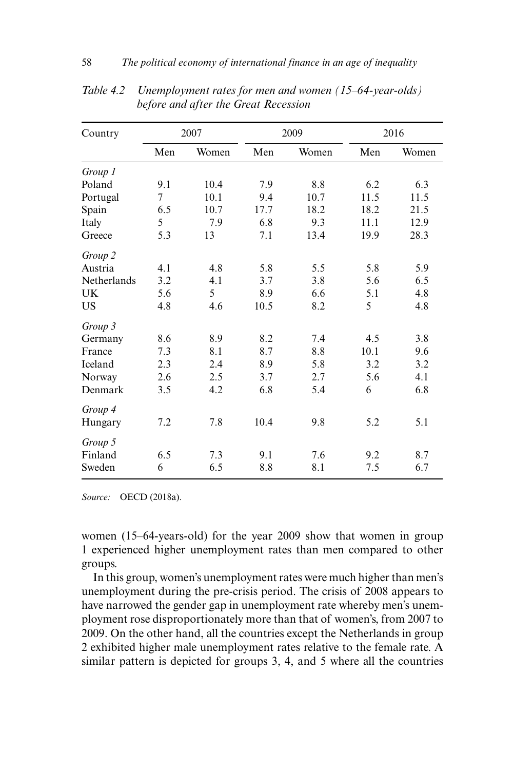| Country     |     | 2007  |      | 2009  | 2016 |       |  |
|-------------|-----|-------|------|-------|------|-------|--|
|             | Men | Women | Men  | Women | Men  | Women |  |
| Group 1     |     |       |      |       |      |       |  |
| Poland      | 9.1 | 10.4  | 7.9  | 8.8   | 6.2  | 6.3   |  |
| Portugal    | 7   | 10.1  | 9.4  | 10.7  | 11.5 | 11.5  |  |
| Spain       | 6.5 | 10.7  | 17.7 | 18.2  | 18.2 | 21.5  |  |
| Italy       | 5   | 7.9   | 6.8  | 9.3   | 11.1 | 12.9  |  |
| Greece      | 5.3 | 13    | 7.1  | 13.4  | 19.9 | 28.3  |  |
| Group 2     |     |       |      |       |      |       |  |
| Austria     | 4.1 | 4.8   | 5.8  | 5.5   | 5.8  | 5.9   |  |
| Netherlands | 3.2 | 4.1   | 3.7  | 3.8   | 5.6  | 6.5   |  |
| UK          | 5.6 | 5     | 8.9  | 6.6   | 5.1  | 4.8   |  |
| <b>US</b>   | 4.8 | 4.6   | 10.5 | 8.2   | 5    | 4.8   |  |
| Group 3     |     |       |      |       |      |       |  |
| Germany     | 8.6 | 8.9   | 8.2  | 7.4   | 4.5  | 3.8   |  |
| France      | 7.3 | 8.1   | 8.7  | 8.8   | 10.1 | 9.6   |  |
| Iceland     | 2.3 | 2.4   | 8.9  | 5.8   | 3.2  | 3.2   |  |
| Norway      | 2.6 | 2.5   | 3.7  | 2.7   | 5.6  | 4.1   |  |
| Denmark     | 3.5 | 4.2   | 6.8  | 5.4   | 6    | 6.8   |  |
| Group 4     |     |       |      |       |      |       |  |
| Hungary     | 7.2 | 7.8   | 10.4 | 9.8   | 5.2  | 5.1   |  |
| Group 5     |     |       |      |       |      |       |  |
| Finland     | 6.5 | 7.3   | 9.1  | 7.6   | 9.2  | 8.7   |  |
| Sweden      | 6   | 6.5   | 8.8  | 8.1   | 7.5  | 6.7   |  |

*Table 4.2 Unemployment rates for men and women (15–64-year-olds) before and after the Great Recession*

*Source:* OECD (2018a).

women (15–64-years-old) for the year 2009 show that women in group 1 experienced higher unemployment rates than men compared to other groups.

In this group, women's unemployment rates were much higher than men's unemployment during the pre-crisis period. The crisis of 2008 appears to have narrowed the gender gap in unemployment rate whereby men's unemployment rose disproportionately more than that of women's, from 2007 to 2009. On the other hand, all the countries except the Netherlands in group 2 exhibited higher male unemployment rates relative to the female rate. A similar pattern is depicted for groups 3, 4, and 5 where all the countries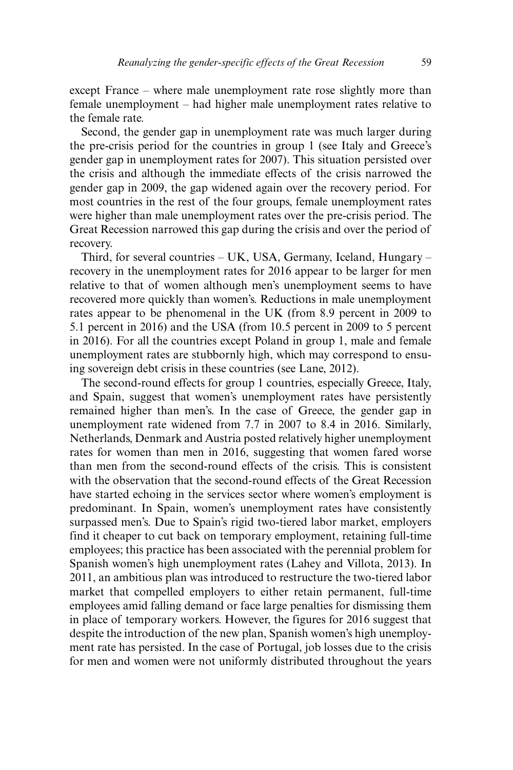except France – where male unemployment rate rose slightly more than female unemployment – had higher male unemployment rates relative to the female rate.

Second, the gender gap in unemployment rate was much larger during the pre-crisis period for the countries in group 1 (see Italy and Greece's gender gap in unemployment rates for 2007). This situation persisted over the crisis and although the immediate effects of the crisis narrowed the gender gap in 2009, the gap widened again over the recovery period. For most countries in the rest of the four groups, female unemployment rates were higher than male unemployment rates over the pre-crisis period. The Great Recession narrowed this gap during the crisis and over the period of recovery.

Third, for several countries – UK, USA, Germany, Iceland, Hungary – recovery in the unemployment rates for 2016 appear to be larger for men relative to that of women although men's unemployment seems to have recovered more quickly than women's. Reductions in male unemployment rates appear to be phenomenal in the UK (from 8.9 percent in 2009 to 5.1 percent in 2016) and the USA (from 10.5 percent in 2009 to 5 percent in 2016). For all the countries except Poland in group 1, male and female unemployment rates are stubbornly high, which may correspond to ensuing sovereign debt crisis in these countries (see Lane, 2012).

The second-round effects for group 1 countries, especially Greece, Italy, and Spain, suggest that women's unemployment rates have persistently remained higher than men's. In the case of Greece, the gender gap in unemployment rate widened from 7.7 in 2007 to 8.4 in 2016. Similarly, Netherlands, Denmark and Austria posted relatively higher unemployment rates for women than men in 2016, suggesting that women fared worse than men from the second-round effects of the crisis. This is consistent with the observation that the second-round effects of the Great Recession have started echoing in the services sector where women's employment is predominant. In Spain, women's unemployment rates have consistently surpassed men's. Due to Spain's rigid two-tiered labor market, employers find it cheaper to cut back on temporary employment, retaining full-time employees; this practice has been associated with the perennial problem for Spanish women's high unemployment rates (Lahey and Villota, 2013). In 2011, an ambitious plan was introduced to restructure the two-tiered labor market that compelled employers to either retain permanent, full-time employees amid falling demand or face large penalties for dismissing them in place of temporary workers. However, the figures for 2016 suggest that despite the introduction of the new plan, Spanish women's high unemployment rate has persisted. In the case of Portugal, job losses due to the crisis for men and women were not uniformly distributed throughout the years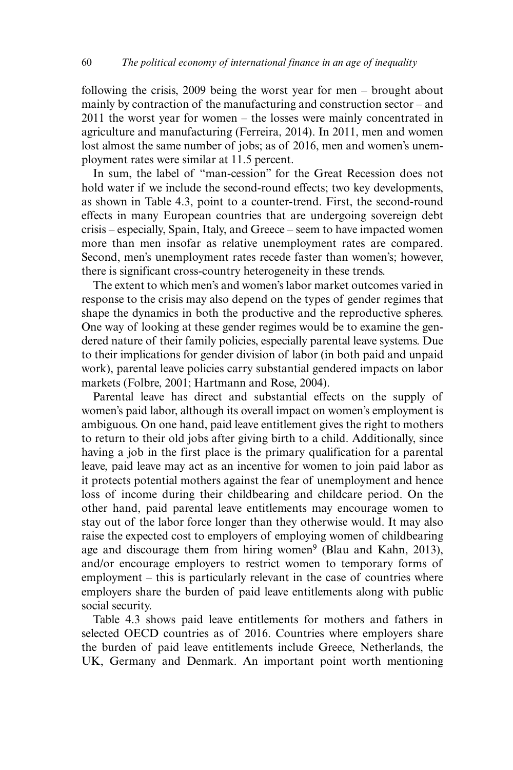following the crisis, 2009 being the worst year for men – brought about mainly by contraction of the manufacturing and construction sector – and 2011 the worst year for women – the losses were mainly concentrated in agriculture and manufacturing (Ferreira, 2014). In 2011, men and women lost almost the same number of jobs; as of 2016, men and women's unemployment rates were similar at 11.5 percent.

In sum, the label of "man-cession" for the Great Recession does not hold water if we include the second-round effects; two key developments, as shown in Table 4.3, point to a counter-trend. First, the second-round effects in many European countries that are undergoing sovereign debt crisis – especially, Spain, Italy, and Greece – seem to have impacted women more than men insofar as relative unemployment rates are compared. Second, men's unemployment rates recede faster than women's; however, there is significant cross-country heterogeneity in these trends.

The extent to which men's and women's labor market outcomes varied in response to the crisis may also depend on the types of gender regimes that shape the dynamics in both the productive and the reproductive spheres. One way of looking at these gender regimes would be to examine the gendered nature of their family policies, especially parental leave systems. Due to their implications for gender division of labor (in both paid and unpaid work), parental leave policies carry substantial gendered impacts on labor markets (Folbre, 2001; Hartmann and Rose, 2004).

Parental leave has direct and substantial effects on the supply of women's paid labor, although its overall impact on women's employment is ambiguous. On one hand, paid leave entitlement gives the right to mothers to return to their old jobs after giving birth to a child. Additionally, since having a job in the first place is the primary qualification for a parental leave, paid leave may act as an incentive for women to join paid labor as it protects potential mothers against the fear of unemployment and hence loss of income during their childbearing and childcare period. On the other hand, paid parental leave entitlements may encourage women to stay out of the labor force longer than they otherwise would. It may also raise the expected cost to employers of employing women of childbearing age and discourage them from hiring women<sup>9</sup> (Blau and Kahn, 2013), and/or encourage employers to restrict women to temporary forms of employment – this is particularly relevant in the case of countries where employers share the burden of paid leave entitlements along with public social security.

Table 4.3 shows paid leave entitlements for mothers and fathers in selected OECD countries as of 2016. Countries where employers share the burden of paid leave entitlements include Greece, Netherlands, the UK, Germany and Denmark. An important point worth mentioning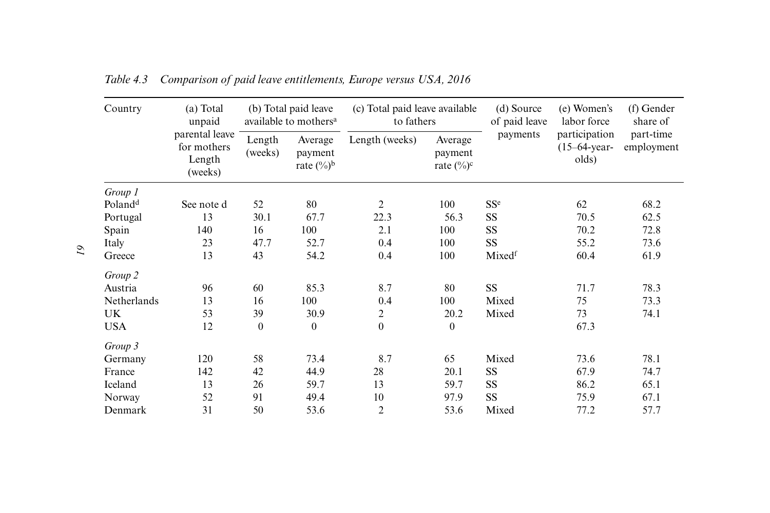| Country             | (a) Total<br>unpaid<br>parental leave<br>for mothers<br>Length<br>(weeks) | (b) Total paid leave<br>available to mothers <sup>a</sup> |                                     | (c) Total paid leave available<br>to fathers |                                     | (d) Source<br>of paid leave | (e) Women's<br>labor force                      | (f) Gender<br>share of  |  |
|---------------------|---------------------------------------------------------------------------|-----------------------------------------------------------|-------------------------------------|----------------------------------------------|-------------------------------------|-----------------------------|-------------------------------------------------|-------------------------|--|
|                     |                                                                           | Length<br>(weeks)                                         | Average<br>payment<br>rate $(\%)^b$ | Length (weeks)                               | Average<br>payment<br>rate $(\%)^c$ | payments                    | participation<br>$(15 - 64 - \nu e^2)$<br>olds) | part-time<br>employment |  |
| Group 1             |                                                                           |                                                           |                                     |                                              |                                     |                             |                                                 |                         |  |
| Poland <sup>d</sup> | See note d                                                                | 52                                                        | 80                                  | $\overline{c}$                               | 100                                 | SSe                         | 62                                              | 68.2                    |  |
| Portugal            | 13                                                                        | 30.1                                                      | 67.7                                | 22.3                                         | 56.3                                | SS                          | 70.5                                            | 62.5                    |  |
| Spain               | 140                                                                       | 16                                                        | 100                                 | 2.1                                          | 100                                 | SS                          | 70.2                                            | 72.8                    |  |
| Italy               | 23                                                                        | 47.7                                                      | 52.7                                | 0.4                                          | 100                                 | <b>SS</b>                   | 55.2                                            | 73.6                    |  |
| Greece              | 13                                                                        | 43                                                        | 54.2                                | 0.4                                          | 100                                 | Mixedf                      | 60.4                                            | 61.9                    |  |
| Group 2             |                                                                           |                                                           |                                     |                                              |                                     |                             |                                                 |                         |  |
| Austria             | 96                                                                        | 60                                                        | 85.3                                | 8.7                                          | 80                                  | SS                          | 71.7                                            | 78.3                    |  |
| Netherlands         | 13                                                                        | 16                                                        | 100                                 | 0.4                                          | 100                                 | Mixed                       | 75                                              | 73.3                    |  |
| UK.                 | 53                                                                        | 39                                                        | 30.9                                | $\overline{c}$                               | 20.2                                | Mixed                       | 73                                              | 74.1                    |  |
| <b>USA</b>          | 12                                                                        | $\mathbf{0}$                                              | $\theta$                            | $\boldsymbol{0}$                             | $\theta$                            |                             | 67.3                                            |                         |  |
| Group 3             |                                                                           |                                                           |                                     |                                              |                                     |                             |                                                 |                         |  |
| Germany             | 120                                                                       | 58                                                        | 73.4                                | 8.7                                          | 65                                  | Mixed                       | 73.6                                            | 78.1                    |  |
| France              | 142                                                                       | 42                                                        | 44.9                                | 28                                           | 20.1                                | SS                          | 67.9                                            | 74.7                    |  |
| Iceland             | 13                                                                        | 26                                                        | 59.7                                | 13                                           | 59.7                                | <b>SS</b>                   | 86.2                                            | 65.1                    |  |
| Norway              | 52                                                                        | 91                                                        | 49.4                                | 10                                           | 97.9                                | SS                          | 75.9                                            | 67.1                    |  |
| Denmark             | 31                                                                        | 50                                                        | 53.6                                | $\overline{c}$                               | 53.6                                | Mixed                       | 77.2                                            | 57.7                    |  |

| Table 4.3 | Comparison of paid leave entitlements, Europe versus USA, 2016 |  |  |  |  |  |  |  |  |
|-----------|----------------------------------------------------------------|--|--|--|--|--|--|--|--|
|-----------|----------------------------------------------------------------|--|--|--|--|--|--|--|--|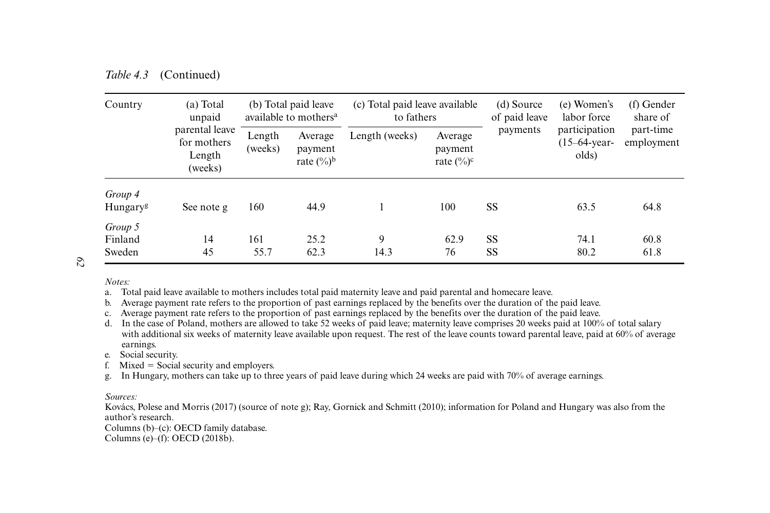*Table 4.3* (Continued)

| Country                         | (a) Total<br>unpaid<br>parental leave<br>for mothers<br>Length<br>(weeks) | (b) Total paid leave<br>available to mothers <sup>a</sup> |                                     | (c) Total paid leave available<br>to fathers |                                     | (d) Source<br>of paid leave | (e) Women's<br>labor force             | (f) Gender<br>share of  |  |
|---------------------------------|---------------------------------------------------------------------------|-----------------------------------------------------------|-------------------------------------|----------------------------------------------|-------------------------------------|-----------------------------|----------------------------------------|-------------------------|--|
|                                 |                                                                           | Length<br>(weeks)                                         | Average<br>payment<br>rate $(\%)^b$ | Length (weeks)                               | Average<br>payment<br>rate $(\%)^c$ | payments                    | participation<br>(15–64-year-<br>olds) | part-time<br>employment |  |
| Group 4<br>Hungary <sup>g</sup> | See note g                                                                | 160                                                       | 44.9                                |                                              | 100                                 | <b>SS</b>                   | 63.5                                   | 64.8                    |  |
| Group 5<br>Finland<br>Sweden    | 14<br>45                                                                  | 161<br>55.7                                               | 25.2<br>62.3                        | 9<br>14.3                                    | 62.9<br>76                          | <b>SS</b><br><b>SS</b>      | 74.1<br>80.2                           | 60.8<br>61.8            |  |

*62*

*Notes:*

a. Total paid leave available to mothers includes total paid maternity leave and paid parental and homecare leave.

b. Average payment rate refers to the proportion of past earnings replaced by the benefits over the duration of the paid leave.

c. Average payment rate refers to the proportion of past earnings replaced by the benefits over the duration of the paid leave.

 d. In the case of Poland, mothers are allowed to take 52 weeks of paid leave; maternity leave comprises 20 weeks paid at 100% of total salary with additional six weeks of maternity leave available upon request. The rest of the leave counts toward parental leave, paid at 60% of average earnings.

e. Social security.

f. Mixed  $=$  Social security and employers.

g. In Hungary, mothers can take up to three years of paid leave during which 24 weeks are paid with 70% of average earnings.

#### *Sources:*

 Kovács, Polese and Morris (2017) (source of note g); Ray, Gornick and Schmitt (2010); information for Poland and Hungary was also from the author's research.

 Columns (b)–(c): OECD family database.Columns (e)–(f): OECD (2018b).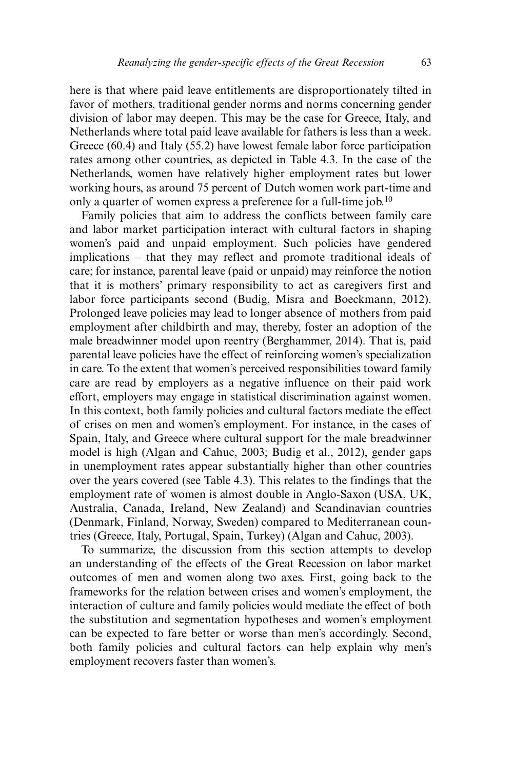here is that where paid leave entitlements are disproportionately tilted in favor of mothers, traditional gender norms and norms concerning gender division of labor may deepen. This may be the case for Greece, Italy, and Netherlands where total paid leave available for fathers is less than a week. Greece (60.4) and Italy (55.2) have lowest female labor force participation rates among other countries, as depicted in Table 4.3. In the case of the Netherlands, women have relatively higher employment rates but lower working hours, as around 75 percent of Dutch women work part-time and only a quarter of women express a preference for a full-time job.<sup>10</sup>

Family policies that aim to address the conflicts between family care and labor market participation interact with cultural factors in shaping women's paid and unpaid employment. Such policies have gendered implications – that they may reflect and promote traditional ideals of care; for instance, parental leave (paid or unpaid) may reinforce the notion that it is mothers' primary responsibility to act as caregivers first and labor force participants second (Budig, Misra and Boeckmann, 2012). Prolonged leave policies may lead to longer absence of mothers from paid employment after childbirth and may, thereby, foster an adoption of the male breadwinner model upon reentry (Berghammer, 2014). That is, paid parental leave policies have the effect of reinforcing women's specialization in care. To the extent that women's perceived responsibilities toward family care are read by employers as a negative influence on their paid work effort, employers may engage in statistical discrimination against women. In this context, both family policies and cultural factors mediate the effect of crises on men and women's employment. For instance, in the cases of Spain, Italy, and Greece where cultural support for the male breadwinner model is high (Algan and Cahuc, 2003; Budig et al., 2012), gender gaps in unemployment rates appear substantially higher than other countries over the years covered (see Table 4.3). This relates to the findings that the employment rate of women is almost double in Anglo-Saxon (USA, UK, Australia, Canada, Ireland, New Zealand) and Scandinavian countries (Denmark, Finland, Norway, Sweden) compared to Mediterranean countries (Greece, Italy, Portugal, Spain, Turkey) (Algan and Cahuc, 2003).

To summarize, the discussion from this section attempts to develop an understanding of the effects of the Great Recession on labor market outcomes of men and women along two axes. First, going back to the frameworks for the relation between crises and women's employment, the interaction of culture and family policies would mediate the effect of both the substitution and segmentation hypotheses and women's employment can be expected to fare better or worse than men's accordingly. Second, both family policies and cultural factors can help explain why men's employment recovers faster than women's.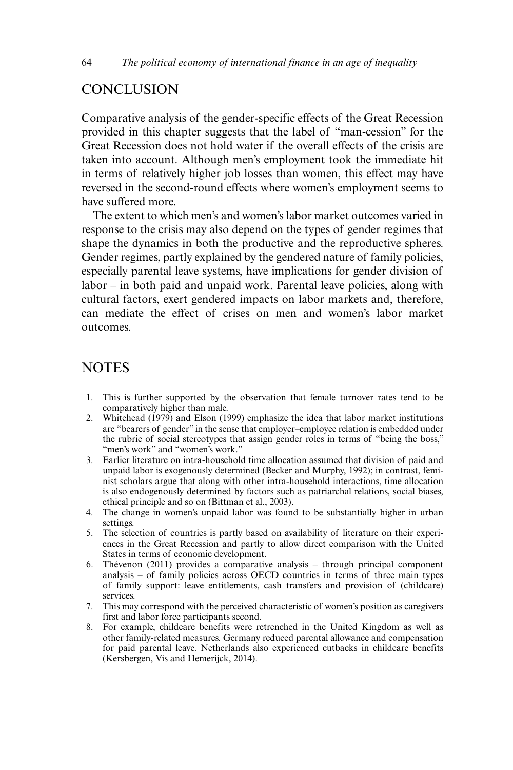## **CONCLUSION**

Comparative analysis of the gender-specific effects of the Great Recession provided in this chapter suggests that the label of "man-cession" for the Great Recession does not hold water if the overall effects of the crisis are taken into account. Although men's employment took the immediate hit in terms of relatively higher job losses than women, this effect may have reversed in the second-round effects where women's employment seems to have suffered more.

The extent to which men's and women's labor market outcomes varied in response to the crisis may also depend on the types of gender regimes that shape the dynamics in both the productive and the reproductive spheres. Gender regimes, partly explained by the gendered nature of family policies, especially parental leave systems, have implications for gender division of labor – in both paid and unpaid work. Parental leave policies, along with cultural factors, exert gendered impacts on labor markets and, therefore, can mediate the effect of crises on men and women's labor market outcomes.

## **NOTES**

- 1. This is further supported by the observation that female turnover rates tend to be comparatively higher than male.
- 2. Whitehead (1979) and Elson (1999) emphasize the idea that labor market institutions are "bearers of gender" in the sense that employer–employee relation is embedded under the rubric of social stereotypes that assign gender roles in terms of "being the boss," "men's work" and "women's work."
- 3. Earlier literature on intra-household time allocation assumed that division of paid and unpaid labor is exogenously determined (Becker and Murphy, 1992); in contrast, feminist scholars argue that along with other intra-household interactions, time allocation is also endogenously determined by factors such as patriarchal relations, social biases, ethical principle and so on (Bittman et al., 2003).
- 4. The change in women's unpaid labor was found to be substantially higher in urban settings.
- 5. The selection of countries is partly based on availability of literature on their experiences in the Great Recession and partly to allow direct comparison with the United States in terms of economic development.
- 6. Thévenon (2011) provides a comparative analysis through principal component analysis – of family policies across OECD countries in terms of three main types of family support: leave entitlements, cash transfers and provision of (childcare) services.
- 7. This may correspond with the perceived characteristic of women's position as caregivers first and labor force participants second.
- 8. For example, childcare benefits were retrenched in the United Kingdom as well as other family-related measures. Germany reduced parental allowance and compensation for paid parental leave. Netherlands also experienced cutbacks in childcare benefits (Kersbergen, Vis and Hemerijck, 2014).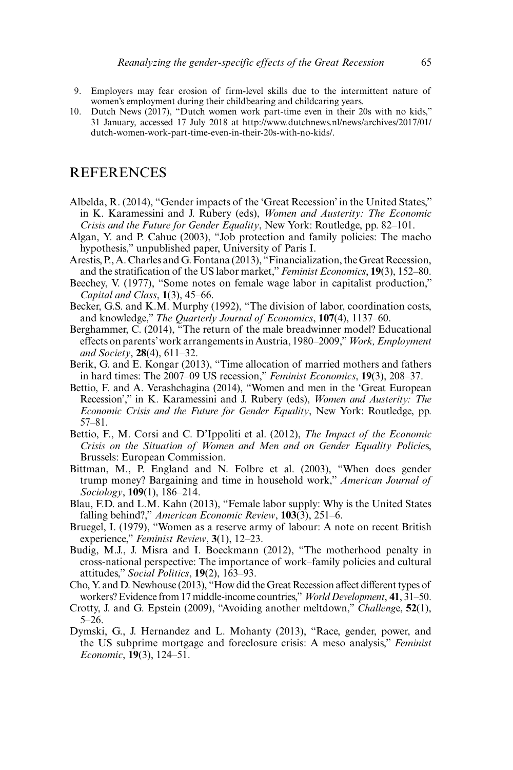- 9. Employers may fear erosion of firm-level skills due to the intermittent nature of women's employment during their childbearing and childcaring years.
- 10. Dutch News (2017), "Dutch women work part-time even in their 20s with no kids," 31 January, accessed 17 July 2018 at http://www.dutchnews.nl/news/archives/2017/01/ dutch-women-work-part-time-even-in-their-20s-with-no-kids/.

### REFERENCES

- Albelda, R. (2014), "Gender impacts of the 'Great Recession' in the United States," in K. Karamessini and J. Rubery (eds), *Women and Austerity: The Economic Crisis and the Future for Gender Equality*, New York: Routledge, pp. 82–101.
- Algan, Y. and P. Cahuc (2003), "Job protection and family policies: The macho hypothesis," unpublished paper, University of Paris I.
- Arestis, P., A. Charles and G. Fontana (2013), "Financialization, the Great Recession, and the stratification of the US labor market," *Feminist Economics*, **19**(3), 152–80.
- Beechey, V. (1977), "Some notes on female wage labor in capitalist production," *Capital and Class*, **1**(3), 45–66.
- Becker, G.S. and K.M. Murphy (1992), "The division of labor, coordination costs, and knowledge," *The Quarterly Journal of Economics*, **107**(4), 1137–60.
- Berghammer, C. (2014), "The return of the male breadwinner model? Educational effects on parents' work arrangements in Austria, 1980–2009," *Work, Employment and Society*, **28**(4), 611–32.
- Berik, G. and E. Kongar (2013), "Time allocation of married mothers and fathers in hard times: The 2007–09 US recession," *Feminist Economics*, **19**(3), 208–37.
- Bettio, F. and A. Verashchagina (2014), "Women and men in the 'Great European Recession'," in K. Karamessini and J. Rubery (eds), *Women and Austerity: The Economic Crisis and the Future for Gender Equality*, New York: Routledge, pp. 57–81.
- Bettio, F., M. Corsi and C. D'Ippoliti et al. (2012), *The Impact of the Economic Crisis on the Situation of Women and Men and on Gender Equality Policie*s, Brussels: European Commission.
- Bittman, M., P. England and N. Folbre et al. (2003), "When does gender trump money? Bargaining and time in household work," *American Journal of Sociology*, **109**(1), 186–214.
- Blau, F.D. and L.M. Kahn (2013), "Female labor supply: Why is the United States falling behind?," *American Economic Review*, **103**(3), 251–6.
- Bruegel, I. (1979), "Women as a reserve army of labour: A note on recent British experience," *Feminist Review*, **3**(1), 12–23.
- Budig, M.J., J. Misra and I. Boeckmann (2012), "The motherhood penalty in cross-national perspective: The importance of work–family policies and cultural attitudes," *Social Politics*, **19**(2), 163–93.
- Cho, Y. and D. Newhouse (2013), "How did the Great Recession affect different types of workers? Evidence from 17 middle-income countries," *World Development*, **41**, 31–50.
- Crotty, J. and G. Epstein (2009), "Avoiding another meltdown," *Challeng*e, **52**(1),  $5-26.$
- Dymski, G., J. Hernandez and L. Mohanty (2013), "Race, gender, power, and the US subprime mortgage and foreclosure crisis: A meso analysis," *Feminist Economic*, **19**(3), 124–51.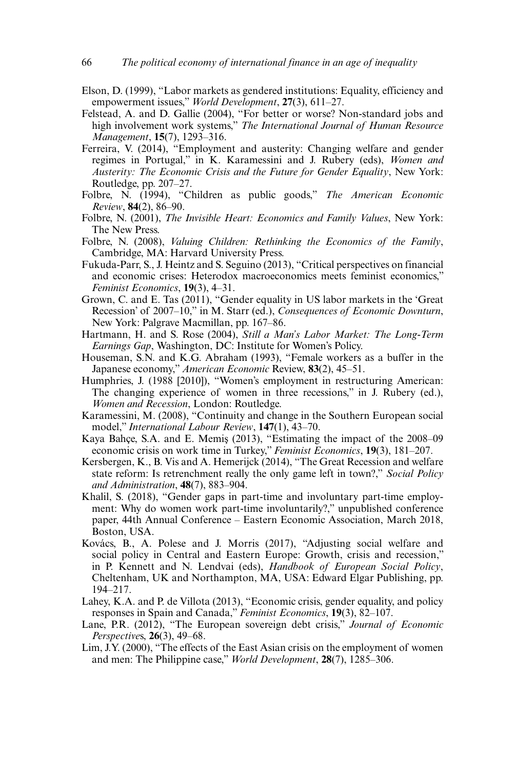- Elson, D. (1999), "Labor markets as gendered institutions: Equality, efficiency and empowerment issues," *World Development*, **27**(3), 611–27.
- Felstead, A. and D. Gallie (2004), "For better or worse? Non-standard jobs and high involvement work systems," *The International Journal of Human Resource Management*, **15**(7), 1293–316.
- Ferreira, V. (2014), "Employment and austerity: Changing welfare and gender regimes in Portugal," in K. Karamessini and J. Rubery (eds), *Women and Austerity: The Economic Crisis and the Future for Gender Equality*, New York: Routledge, pp. 207–27.
- Folbre, N. (1994), "Children as public goods," *The American Economic Review*, **84**(2), 86–90.
- Folbre, N. (2001), *The Invisible Heart: Economics and Family Values*, New York: The New Press.
- Folbre, N. (2008), *Valuing Children: Rethinking the Economics of the Family*, Cambridge, MA: Harvard University Press.
- Fukuda-Parr, S., J. Heintz and S. Seguino (2013), "Critical perspectives on financial and economic crises: Heterodox macroeconomics meets feminist economics," *Feminist Economics*, **19**(3), 4–31.
- Grown, C. and E. Tas (2011), "Gender equality in US labor markets in the 'Great Recession' of 2007–10," in M. Starr (ed.), *Consequences of Economic Downturn*, New York: Palgrave Macmillan, pp. 167–86.
- Hartmann, H. and S. Rose (2004), *Still a Man's Labor Market: The Long-Term Earnings Gap*, Washington, DC: Institute for Women's Policy.
- Houseman, S.N. and K.G. Abraham (1993), "Female workers as a buffer in the Japanese economy," *American Economic* Review, **83**(2), 45–51.
- Humphries, J. (1988 [2010]), "Women's employment in restructuring American: The changing experience of women in three recessions," in J. Rubery (ed.), *Women and Recession*, London: Routledge.
- Karamessini, M. (2008), "Continuity and change in the Southern European social model," *International Labour Review*, **147**(1), 43–70.
- Kaya Bahçe, S.A. and E. Memiş (2013), "Estimating the impact of the 2008–09 economic crisis on work time in Turkey," *Feminist Economics*, **19**(3), 181–207.
- Kersbergen, K., B. Vis and A. Hemerijck (2014), "The Great Recession and welfare state reform: Is retrenchment really the only game left in town?," *Social Policy and Administration*, **48**(7), 883–904.
- Khalil, S. (2018), "Gender gaps in part-time and involuntary part-time employment: Why do women work part-time involuntarily?," unpublished conference paper, 44th Annual Conference – Eastern Economic Association, March 2018, Boston, USA.
- Kovács, B., A. Polese and J. Morris (2017), "Adjusting social welfare and social policy in Central and Eastern Europe: Growth, crisis and recession," in P. Kennett and N. Lendvai (eds), *Handbook of European Social Policy*, Cheltenham, UK and Northampton, MA, USA: Edward Elgar Publishing, pp. 194–217.
- Lahey, K.A. and P. de Villota (2013), "Economic crisis, gender equality, and policy responses in Spain and Canada," *Feminist Economics*, **19**(3), 82–107.
- Lane, P.R. (2012), "The European sovereign debt crisis," *Journal of Economic Perspective*s, **26**(3), 49–68.
- Lim, J.Y. (2000), "The effects of the East Asian crisis on the employment of women and men: The Philippine case," *World Development*, **28**(7), 1285–306.